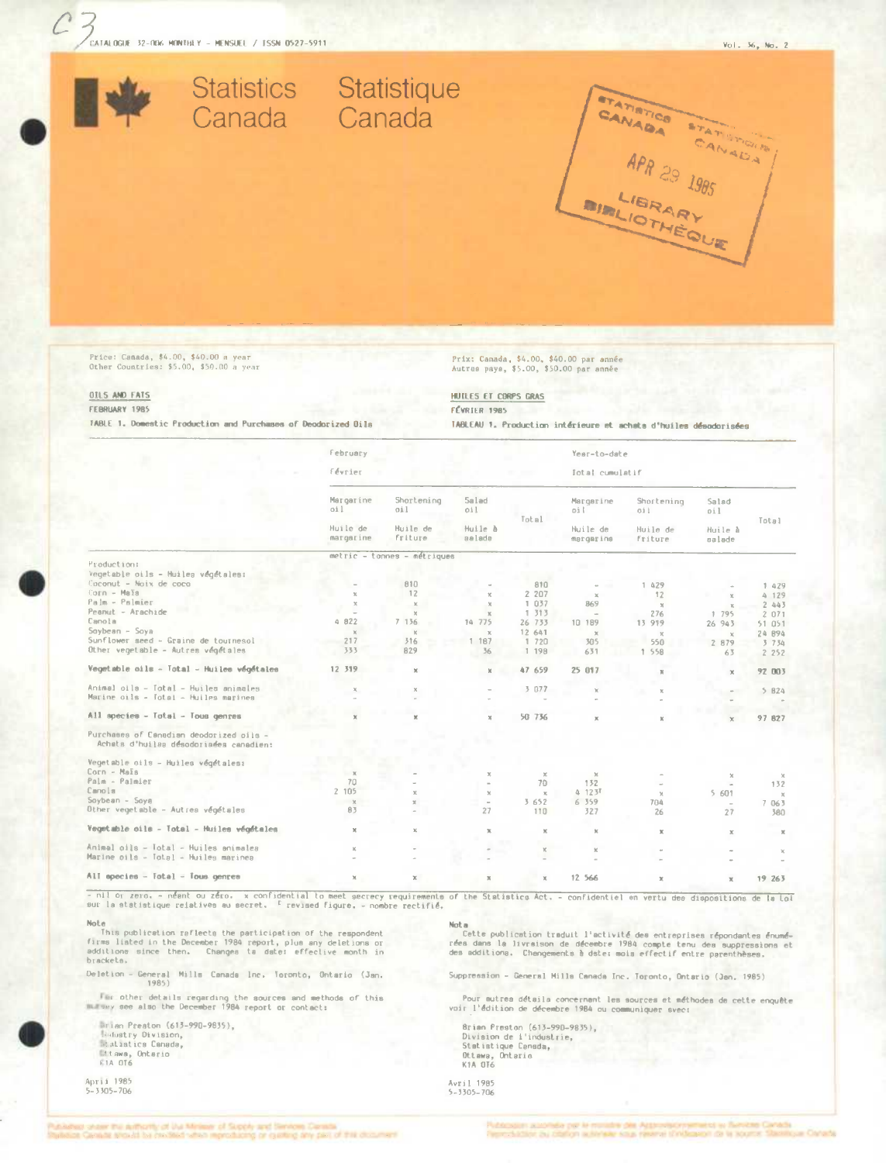Statistics Statistique

Canada Canada

CANADA STATISTICS

APR 29 1985

Price: Canada, \$4.00, \$40.00 a year Other Countries: \$5.00, \$50.00 a year

# Prix: Canada, \$4.00, \$40.00 par année<br>Autres pays, \$5.00, \$50.00 par année

OILS AND FATS FEBRUARY 1985

TABLE 1. Domestic Production and Purchases of Deodorized Dils

HUTLES ET CORPS GRAS FÉVRIER 1985

TABLEAU 1. Production intérieure et achata d'huiles désodorisées

|                                                                                   | February                    |                            |                   |               | Year-to-date                              |                                          |                                   |               |  |
|-----------------------------------------------------------------------------------|-----------------------------|----------------------------|-------------------|---------------|-------------------------------------------|------------------------------------------|-----------------------------------|---------------|--|
|                                                                                   | février                     |                            |                   |               | Iotal cumulatif                           |                                          |                                   |               |  |
|                                                                                   | Margarine<br>oil            | Shortening<br>oil          | 5alad<br>oil.     | Total         | Margarine<br>oil<br>Huile de<br>margarine | Shortening<br>Gil<br>Huile de<br>friture | Salad<br>pil<br>Huile à<br>salade | Total         |  |
|                                                                                   | Huile de<br>margarine       | Huile de<br><b>friture</b> | Huile à<br>aalada |               |                                           |                                          |                                   |               |  |
|                                                                                   | metric - tonnes - métriques |                            |                   |               |                                           |                                          |                                   |               |  |
| Production:                                                                       |                             |                            |                   |               |                                           |                                          |                                   |               |  |
| Vegetable oils - Huilea végétales:                                                |                             |                            |                   |               |                                           |                                          |                                   |               |  |
| Coconut - Noix de coco                                                            |                             | 810                        |                   | 810           |                                           | 1 429                                    |                                   | 1 429         |  |
| $Corn - Max$                                                                      | $\times$                    | 12                         | ĸ                 | 2 207         | $\mathbb{M}$                              | 12                                       | x                                 | 4 129         |  |
| Palm - Palmier                                                                    | $\mathbb{X}$                | $\mathbf x$                | $\mathcal{R}$     | 1 037         | 869                                       | $\chi$                                   | x                                 | 2.443         |  |
| Peanut - Arachide                                                                 |                             | $\mathbf{v}$               | $\mathbb{X}$      | 1 313         | $\sim$                                    | 276                                      | 1 795                             | 2071          |  |
| Canola                                                                            | 4 822                       | 7 136<br><b>Service</b>    | 14 775            | 26 733        | 10 189                                    | 13 919                                   | 26 943                            | 51 051        |  |
| $Soybean - Soya$                                                                  | $\mathbf{x}$                | $\mathbf{R}$               | $\mathbb{R}$      | 12 641        | $\mathcal{K}$                             | $\times$                                 | $\chi$                            | 24 B94        |  |
| Sunflower seed - Graine de toutnesol                                              | 217                         | 316                        | 1 187             | 1 720         | 305                                       | 550                                      | 2 879                             | 3 7 3 4       |  |
| Other vegetable - Autres végétales                                                | 333                         | 829                        | 36                | 1 198         | 631                                       | 1 558                                    | 63                                | 2 2 5 2       |  |
| Vegetable oils - Total - Huiles végétales                                         | 12 319                      | $\chi$                     | ×                 | 47 659        | 25 017                                    | ×                                        | $\mathcal{H}$                     | 92 003        |  |
| Animal oils - Total - Huiles animales<br>Marine oils - Total - Huiles marines     | ×                           | $\times$                   |                   | 3 077         | ×                                         | $\mathbf{x}$                             |                                   | 5 B24         |  |
|                                                                                   |                             |                            |                   |               |                                           |                                          |                                   |               |  |
| All species - Total - Tous genres                                                 | $\mathbf x$                 |                            | ×                 | 50 736        | $\mathbf{x}$                              | $\mathbbm{K}$                            | $\times$                          | 97 827        |  |
| Purchases of Canadian deodorized oils -<br>Achets d'huiles désodoriaées canadien: |                             |                            |                   |               |                                           |                                          |                                   |               |  |
| Vegetable oils - Huiles végétales:                                                |                             |                            |                   |               |                                           |                                          |                                   |               |  |
| Corn - Mais                                                                       | $\mathcal{R}$               |                            | x.                | $\mathcal{X}$ | $\times$                                  |                                          | $\chi$                            | $\times$      |  |
| Palm - Palmier                                                                    | 70                          |                            | $\blacksquare$    | 70            | 132                                       | $\sim$                                   |                                   | 132           |  |
| Canola                                                                            | 2 105                       | $\mathbb{R}$               | $\mathbf{x}$      | $\chi$        | 4 123F                                    | $\times$                                 | 5 601                             | $\mathcal{K}$ |  |
| $Sovbean - Sova$                                                                  | $\times$                    | M.                         | $\sim$            | 3 652         | 6 359                                     | 704                                      | $\sim$                            | 7 063         |  |
| Other vegetable - Autrea végétales                                                | 83                          |                            | 27                | 110           | 327                                       | 26                                       | 27                                | 380           |  |
| Vegetable oils - Total - Huiles végétales                                         | $\mathbb X$                 | $\mathbb{M}$               | ×                 | $\mathbbm{K}$ | $\mathbb{X}$                              | $\mathbbm{K}$                            | $\chi$                            | $\mathbbm{K}$ |  |
| Animal oils - Total - Huiles animales                                             | $\mathbf{x}$                |                            |                   | $\mathbb{X}$  | $\mathbbm{K}$                             |                                          |                                   | ×             |  |
| Marine oils - Total - Huiles marinea                                              |                             |                            |                   | ÷             |                                           |                                          |                                   |               |  |
| All species - Iotal - Tous genres                                                 | $\times$                    | x                          | ×                 | x             | 12 566                                    | $\mathbf{x}$                             | $\mathbb{M}$                      | 19 263        |  |

- nil or zero, - néant ou zéro, x confidential to meet secrecy requirements of the Statistics Act, - confidentiel en vertu des dispositions de la Loi<br>sur la statistique relatives au secret. <sup>E</sup> revised figure, - nombre rec

Note<br>
This publication raflects the participation of the respondent<br>
firms liated in the December 1984 report, plus any deletions or<br>
additione since then. Changes ta date: effective month in<br>
brackets.

Deletion - General Mills Canada Inc. Toronto, Ontario (Jan. 1985)

Far other details regarding the sources and methods of this<br>murary see also the December 1984 report or contact:

Brian Preston (613-990-9835), **Madustry Division,** Mtawa, Ontario

April 1985<br>5-3305-706

Nota<br>Cette publication traduit l'activité des entreprises répondantes énumé-<br>rées dans la livraison de décembre 1984 compte tenu des suppressions et<br>des additions. Changements à date: mois effectif entre parenthèses.

Suppression - General Milla Canada Inc. Toronto, Ontario (Jan. 1985)

Pour autres détails concernant les sources et méthodes de cette enquête<br>voir l'édition de décembre 1984 ou communiquer svec;

Brian Preston (613–990–9835),<br>Division de l'industrie,<br>Statistique Cansda,<br>Ottawa, Ontario<br>K1A OT6

Avril 1985<br>5-3305-706